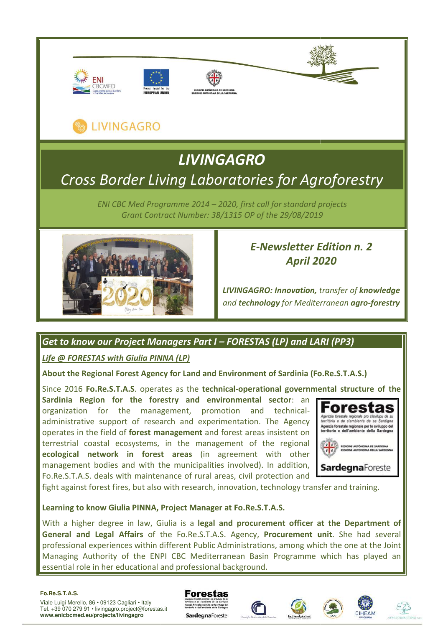









# *Cross Border Living Laboratories for Agroforestry LIVINGAGRO*

*ENI CBC Med Programme 2014 – 2020, first call for standard projects Grant Contract Number: 38/1315 OP of the 29/08/2019*



# *E-Newsletter Edition n. 2 April 2020*

*LIVINGAGRO: Innovation, transfer of knowledge and technology for Mediterranean agro-forestry* 

# *Get to know our Project Managers Part I – FORESTAS (LP) and LARI (PP3)*

**Life @ FORESTAS with Giulia PINNA (LP)** 

**About the Regional Forest Agency for Land and Environment of Sardinia (Fo.Re.S.T.A.S.)**

Since 2016 **Fo.Re.S.T.A.S**. operates as the **technical-operational governmental structure of the** Sardinia Region for the forestry and environmental sector: an organization for the management, promotion administrative support of research and experimentation. The Agency operates in the field of **forest management** and forest areas insistent on terrestrial coastal ecosystems, in the management of the regional **ecological network in forest areas** (in agreement with other management bodies and with the municipalities involved). In addition, Fo.Re.S.T.A.S. deals with maintenance of rural areas, civil protection and and technical-



fight against forest fires, but also with research, innovation, technology transfer and training.

# **Learning to know Giulia PINNA, Project Manager at Fo.Re.S.T.A.S.**

With a higher degree in law, Giulia is a legal and procurement officer at the Department of **General and Legal Affairs** of the Fo.Re.S.T.A.S. Agency, **Procurement unit** professional experiences within different Public Administrations, among which the one at the Joint Managing Authority of the ENPI CBC Mediterranean Basin Programme which has played an essential role in her educational and professional background. echnology transfer and training.<br> **T.A.S.**<br> **ement officer at the Department of Procurement unit**. She had several

#### **Fo.Re.S.T.A.S.**

Viale Luigi Merello, 86 • 09123 Cagliari • Italy Tel. +39 070 279 91 • livingagro.project@forestas.it **www.enicbcmed.eu/projects/livingagro**



**SardegnaForeste** 







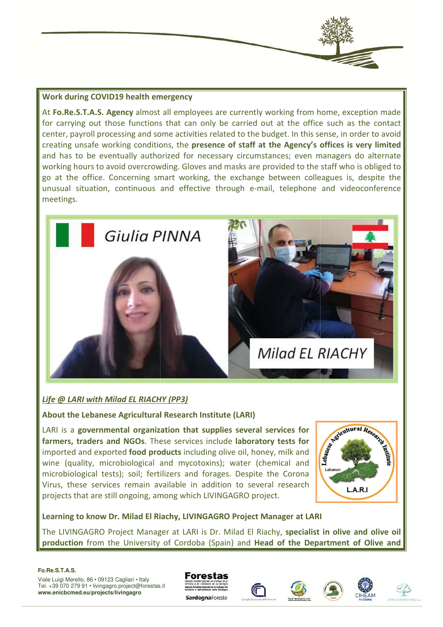#### **Work during COVID19 health emergency**

At **Fo.Re.S.T.A.S. Agency** almost all employees are currently working from home, exception made for carrying out those functions that can only be carried out at the office such as the contact center, payroll processing and some activities related to the budget. In this sense, in order to avoid creating unsafe working conditions, the **presence of staff at the Agency's offices is very limited** and has to be eventually authorized for necessary circumstances; even managers do alternate working hours to avoid overcrowding. Gloves and masks are provided to the staff who is obliged to go at the office. Concerning smart working, the exchange between colleagues is, despite the unusual situation, continuous and effective through e-mail, telephone and videoconference meetings. nstances;<br>e providec<br>ge betwee<br>mail, tele



# *Life @ LARI with Milad EL RIACHY (PP3)*

**About the Lebanese Agricultural Research Institute (LARI)**

LARI is a **governmental organization that supplies several services for farmers, traders and NGOs**. These services include **laboratory tests for** imported and exported **food products** including olive oil, honey, milk and wine (quality, microbiological and mycotoxins); water (chemical and microbiological tests); soil; fertilizers and forages. Despite the Corona Virus, these services remain available in addition to several research projects that are still ongoing, among which LIVINGAGRO project. Virus, these services remain available in addition to several research<br>
projects that are still ongoing, among which LIVINGAGRO project.<br> **Learning to know Dr. Milad El Riachy, LIVINGAGRO Project Manager at LARI**<br>
The LIVI



**Learning to know Dr. Milad El Riachy, LIVINGAGRO Project Manager at LARI**

**production** from the University of Cordoba (Spain) and **Head of the Department of Olive and** 

#### **Fo.Re.S.T.A.S.**







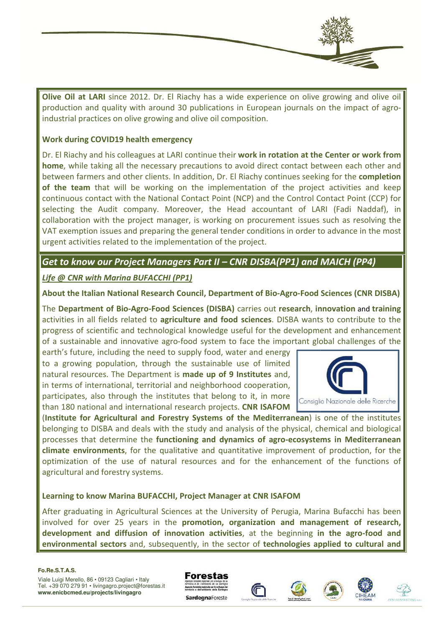

**Olive Oil at LARI** since 2012. Dr. El Riachy has a wide experience on olive growing and olive oil production and quality with around 30 publications in European journals on the impact of agroindustrial practices on olive growing and olive oil composition.

#### **Work during COVID19 health emergency**

Dr. El Riachy and his colleagues at LARI continue their work in rotation at the Center or work from **home**, while taking all the necessary precautions to avoid direct contact between each other and between farmers and other clients. In addition, Dr. El Riachy continues seeking for the **completion**  of the team that will be working on the implementation of the project activities and keep continuous contact with the National Contact Point (NCP) and the Control Contact Point (CCP) for selecting the Audit company. Moreover, the Head accountant of LARI (Fadi (Fadi Naddaf), in collaboration with the project manager, is working on procurement issues such as resolving the VAT exemption issues and preparing the general tender conditions in order to advance in the most urgent activities related to the implementation of the project.

# Get to know our Project Managers Part II – CNR DISBA(PP1) and MAICH (PP4)

# *Life @ CNR with Marina BUFACCHI (PP1)*

#### **About the Italian National Research Council, Department of Bio-Agro-Food Sciences Food (CNR DISBA)**

The Department of Bio-Agro-Food Sciences (DISBA) carries out research, innovation and training activities in all fields related to agriculture and food sciences. DISBA wants to contribute to the progress of scientific and technological knowledge useful for the development and enhancement of a sustainable and innovative agro-food system to face the important global challenges of the

earth's future, including the need to supply food, water and energy to a growing population, through the sustainable use of limited natural resources. The Department is **made up of 9 Institutes** and, in terms of international, territorial and neighborhood cooperation, participates, also through the institutes that belong to it, in more than 180 national and international research projects. **CNR ISAFOM** 



(Institute for Agricultural and Forestry Systems of the Mediterranean) is one of the institutes belonging to DISBA and deals with the study and analysis of the physical, chemical and biological processes that determine the functioning and dynamics of agro-ecosystems in Mediterranean **climate environments**, for the qualitative and quantitative improvement of production, for the optimization of the use of natural resources and for the enhancement of the functions of agricultural and forestry systems.

# **Learning to know Marina BUFACCHI, Project Manager at CNR ISAFOM**

After graduating in Agricultural Sciences at the University of Perugia, Marina Bufacchi has been involved for over 25 years in the **promotion, organization and management of research,** development and diffusion of innovation activities, at the beginning in the agro-food and **environmental sectors** and, subsequently, in the sector of **technologies applied to cultural and** 

#### **Fo.Re.S.T.A.S.**









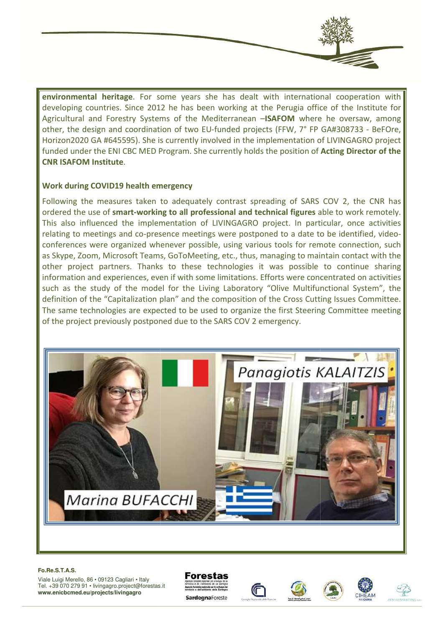**environmental heritage**. For some years she has dealt with international cooperation with developing countries. Since 2012 he has been working at the Perugia office of the Institute for Agricultural and Forestry Systems of the Mediterranean –**ISAFOM** where he oversaw, among other, the design and coordination of two EU-funded projects (FFW, 7° FP GA#308733 - BeFOre, Horizon2020 GA #645595). She is currently involved in the implementation of LIVINGAGRO project funded under the ENI CBC MED Program. She currently holds the position of **Acting Director of the CNR ISAFOM Institute**.

#### **Work during COVID19 health emerg emergency**

Following the measures taken to adequately contrast spreading of SARS COV 2, the CNR has ordered the use of smart-working to all professional and technical figures able to work remotely. This also influenced the implementation of LIVINGAGRO project. In particular, once activities relating to meetings and co-presence meetings were postponed to a date to be identified, videorelating to meetings and co-presence meetings were postponed to a date to be identified, video conferences were organized whenever possible, using various tools for remote connection, such as Skype, Zoom, Microsoft Teams, GoToMeeting, etc., thus, managing to maintain contact with the other project partners. Thanks to these technologies it was possible to continue sharing information and experiences, even if with some limitations. Efforts were concentrated on activities such as the study of the model for the Living Laboratory "Olive Multifunctional System", the definition of the "Capitalization plan" and the composition of the Cross Cutting Issues Committee. The same technologies are expected to be used to organize the first Steering Committee meeting of the project previously postponed due to the SARS COV 2 emergency. presence meetings were postponed to a date to be identified, video-<br>whenever possible, using various tools for remote connection, such<br>eams, GoToMeeting, etc., thus, managing to maintain contact with the



#### **Fo.Re.S.T.A.S.**









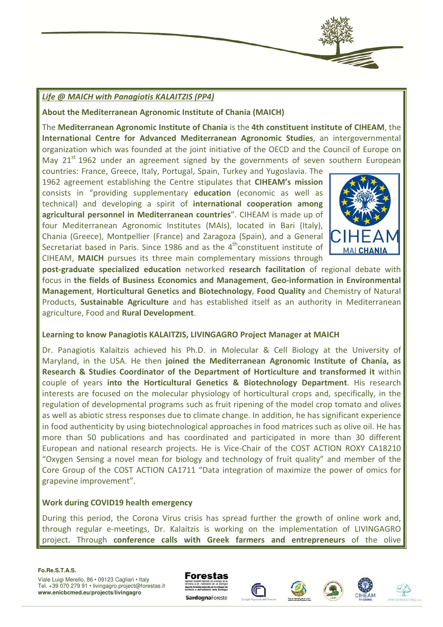# *Life @ MAICH with Panagiotis KALAITZIS (PP4)*

**About the Mediterranean Agronomic Institute of Chania (MAICH)**

The Mediterranean Agronomic Institute of Chania is the 4th constituent institute of CIHEAM, the **International Centre for Advanced Mediterranean Agronomic Studies** , an intergovernmental organization which was founded at the joint initiative of the OECD and the Council of Europe on<br>May 21<sup>st</sup> 1962 under an agreement signed by the governments of seven southern European May  $21^{st}$  1962 under an agreement signed by the governments of seven southern European

countries: France, Greece, Italy, Portugal, Spain, Turkey and Yugoslavia. The 1962 agreement establishing the Centre stipulates that **CIHEAM's mission** consists in "providing supplementary **education** (economic as well as technical) and developing a spirit of **international cooperation among agricultural personnel in Mediterranean countries** ". CIHEAM is made up of four Mediterranean Agronomic Institutes (MAIs), located in Bari (Italy), Chania (Greece), Montpellier (France) and Zaragoza (Spain), and a General Secretariat based in Paris. Since 1986 and as the  $4^{\text{th}}$ constituent institute of CIHEAM, **MAICH** pursues its three main complementary missions through



post-graduate specialized education networked research facilitation of regional debate with focus in the fields of Business Economics and Management, Geo-information in Environmental **Management**, **Horticultural Genetics and Biotechnology** , **Food Quality** and Chemistry of Natural Products, Sustainable Agriculture and has established itself as an authority in Mediterranean agriculture, Food and **Rural Development** .

# **Learning to know Panagiotis KALAITZIS, LIVINGAGRO Project Manager at MAICH**

Dr. Panagiotis Kalaitzis achieved his Ph.D. in Molecular & Cell Biology at the University of<br>Maryland, in the USA. He then **joined the Mediterranean Agronomic Institute of Chania, as**<br>**Research & Studies Coordinator of the** Maryland, in the USA. He then joined the Mediterranean Agronomic Institute of Chania, as **Research & Studies Coordinator of the Department of Horticulture and transformed it**  couple of years **into the Horticultural Genetics & Biotechnology Department** . His research interests are focused on the molecular physiology of horticultural crops and, specifically, in the regulation of developmental programs such as fruit ripening of the model crop tomato and olives as well as abiotic stress responses due to climate change. In addition, he has significant experience in food authenticity by using biotechnological approaches in food matrices such as olive oil. He has more than 50 publications and has coordinated and participated in more than 30 different as well as abiotic stress responses due to climate change. In addition, he has significant experience<br>in food authenticity by using biotechnological approaches in food matrices such as olive oil. He has<br>more than 50 public "Oxygen Sensing a novel mean for biology and technology of fruit quality" and member of the Core Group of the COST ACTION CA1711 "Data integration of maximize the power of omics for grapevine improvement". projects. He is Vice-Chair of the COST ACTION ROXY CA18210<br>
or biology and technology of fruit quality" and member of the<br>
CA1711 "Data integration of maximize the power of omics for<br> **rgency**<br>
irus crisis has spread furth

#### **Work during COVID19 health emergency**

During this period, the Corona Virus crisis has spread further the growth of online work and, through regular e-meetings, Dr. Kalaitzis is working on the implementa project. Through **conference calls with Greek farmers and entrepreneurs** of the olive

#### **Fo.Re.S.T.A.S.**









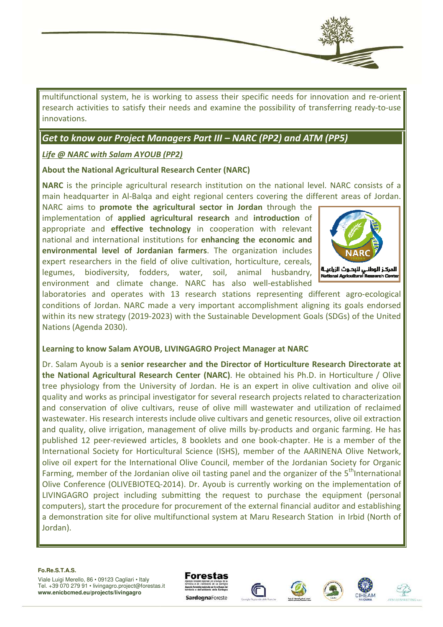

multifunctional system, he is working to assess their specific needs for innovation and re-orient research activities to satisfy their needs and examine the possibility of transferring ready-to-use innovations.

# *Get to know our Project Managers Part I III – NARC (PP2) and ATM (PP5)*

# *Life @ NARC with Salam AYOUB (PP2)*

#### **About the National Agricultural Research Center (NARC)**

NARC is the principle agricultural research institution on the national level. NARC consists of a main headquarter in Al-Balqa and eight regional centers covering the different areas of Jordan.

NARC aims to **promote the agricultural sector in Jordan** through the implementation of **applied agricultural research** and **introduction** of appropriate and **effective technology**  in cooperation with relevant national and international institutions for **enhancing the economic and environmental level of Jordanian farmers** . The organization includes expert researchers in the field of olive cultivation, horticulture, cereals, expert researchers in the field of olive cultivation, horticulture, cereals, legumes, biodiversity, fodders, water, soil, animal husbandry, environment and climate change. NARC has also well-established



laboratories and operates with 13 research stations representing different agro-ecological conditions of Jordan. NARC made a very important accomplishment aligning its goals endorsed within its new strategy (2019-2023) with the Sustainable Development Goals (SDGs) of the United Nations (Agenda 2030).

#### **Learning to know Salam AYOUB, LIVINGAGRO Project Manager at NARC ow**

Dr. Salam Ayoub is a **senior researcher and the Director of Horticulture Research Directorate at**  the National Agricultural Research Center (NARC). He obtained his Ph.D. in Horticulture / Olive tree physiology from the University of Jordan. He is an expert in olive cultivation and olive oil quality and works as principal investigator for several research projects related to characterization and conservation of olive cultivars, reuse of olive mill wastewater and utilization of reclaimed wastewater. His research interests include olive cultivars and genetic resources, olive oil extraction and quality, olive irrigation, management of olive mills by-products and organic farming. He has published 12 peer-reviewed articles, 8 booklets and one book-chapter. He is a member of the International Society for Horticultural Science (ISHS), member of the AARINENA Olive Network, and quality, olive irrigation, management of olive mills by-products and organic farming. He has published 12 peer-reviewed articles, 8 booklets and one book-chapter. He is a member of the International Society for Horticu Farming, member of the Jordanian olive oil tasting panel and the organizer of the 5<sup>th</sup>International Olive Conference (OLIVEBIOTEQ -2014). Dr. Ayoub is currently working on the implementation of LIVINGAGRO project including submitting the request to purchase the equipment (personal computers), start the procedure for procurement of the external financial auditor and establishing a demonstration site for olive multifunctional system at Maru Research Station in Irbid (North of Jordan).

#### **Fo.Re.S.T.A.S.**







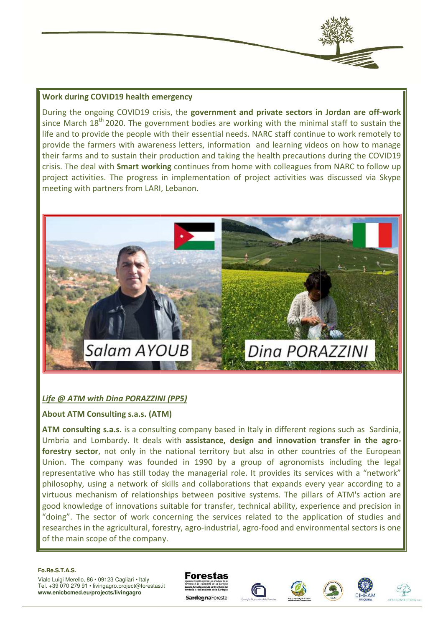#### **Work during COVID19 health emergency**

During the ongoing COVID19 crisis, the government and private sectors in Jordan are off since March 18<sup>th</sup> 2020. The government bodies are working with the minimal staff to sustain the<br>life and to provide the people with their essential needs. NARC staff continue to work remotely to life and to provide the people with their essential needs. NARC staff continue to work remotely to provide the farmers with awareness letters, information and learning videos on how to manage their farms and to sustain their production and taking the health precautions during the COVID19 crisis. The deal with **Smart working** continues from home with colleagues from NARC to follow up project activities. The progress in implementation of project activities was discussed via Skype . meeting with partners from LARI, Lebanon.



# *Life @ ATM with Dina PORAZZINI (PP5)*

#### **About ATM Consulting s.a.s. (ATM)**

**ATM consulting s.a.s.** is a consulting company based in Italy in different regions such as Sardinia, Umbria and Lombardy. It deals with assistance, design and innovation transfer in the agroforestry sector, not only in the national territory but also in other countries of the European Union. The company was founded in 1990 by a group of agronomists including the legal representative who has still today the managerial role. It provides its services with a "network" philosophy, using a network of skills and collaborations that expands every year according to a virtuous mechanism of relationships between positive systems. The pillars of ATM's action are good knowledge of innovations suitable for transfer, technical ability, experience and precision in "doing". The sector of work concerning the services related to the application of studies and researches in the agricultural, forestry, agro-industrial, agro-food and environmental sectors is one of the main scope of the company.

#### **Fo.Re.S.T.A.S.**







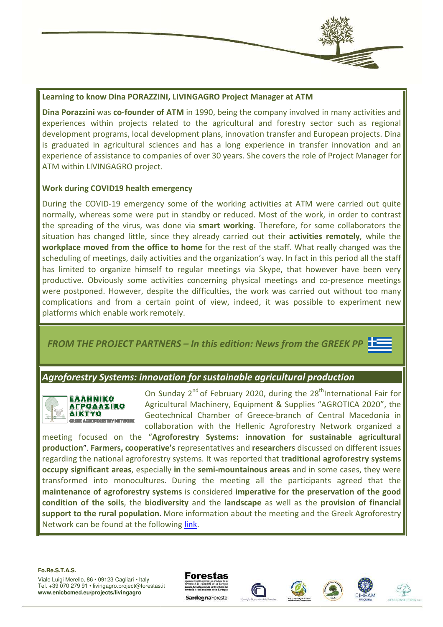

#### **Learning to know Dina PORAZZINI, LIVINGAGRO Project Manager at ATM**

**Dina Porazzini** was co-founder of ATM in 1990, being the company involved in many activities and experiences within projects related to the agricultural and forestry sector such as regional development programs, local development plans, innovation transfer and European projects. Dina is graduated in agricultural sciences and has a long experience in transfer innovation and an experience of assistance to companies of over 30 years. She covers the role of Project Manager for ATM within LIVINGAGRO project. ctor such as regional<br>uropean projects. Dina<br>fer innovation and an<br>of Project Manager for<br>were carried out quite<br>k, in order to contrast<br>ome collaborators the<br>**s remotely**, while the

#### **Work during COVID19 health emergency**

During the COVID-19 emergency some of the working activities at ATM were carried out quite normally, whereas some were put in standby or reduced. Most of the work, in order to contrast the spreading of the virus, was done via **smart working**. Therefore, for some collaborators the situation has changed little, since they already carried out their **activities remotely** workplace moved from the office to home for the rest of the staff. What really changed was the scheduling of meetings, daily activities and the organization's way. In fact in this period all the staff has limited to organize himself to regular meetings via Skype, that however have been very productive. Obviously some activities concerning physical meetings and co-presence meetings were postponed. However, despite the difficulties, the work was carried out without too many complications and from a certain point of view, indeed, it was possible to experiment new platforms which enable work remotely.

**FROM THE PROJECT PARTNERS – In this edition: News from the GREEK PP** 

# *Agroforestry Systems: innovation for sustainable agricultural production*



On Sunday 2<sup>nd</sup> of February 2020, during the 28<sup>th</sup>International Fair for Agricultural Machinery, Equipment & Supplies " "AGROTICA 2020", the Geotechnical Chamber of Greece-branch of Central Macedonia in collaboration with the Hellenic Agroforestry Network organized a

meeting focused on the "**Agroforestry Systems: innovation for sustainable agricultural**  production". Farmers, cooperative's representatives and researchers discussed on different issues regarding the national agroforestry systems. It was reported that *traditional agroforestry systems* **occupy significant areas**, especially in the semi-mountainous areas and in some cases, they were transformed into monocultures. During the meeting all the participants agreed that the **maintenance of agroforestry systems** is considered **imperative for the preservation preservation of the good**  condition of the soils, the biodiversity and the landscape as well as the provision of financial support to the rural population. More information about the meeting and the Greek Agroforestry Network can be found at the following link.

**Fo.Re.S.T.A.S.**









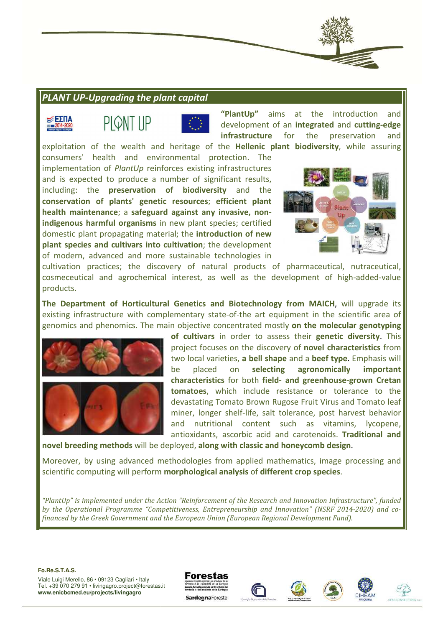# **PLANT UP-Upgrading the plant capital**







**"PlantUp"** aims at the introduction and development of an **integrated** and **cutting-edge infrastructure** for the preservation and

exploitation of the wealth and heritage of the **Hellenic plant biodiversity** , while assuring consumers' health and environmental protection. The implementation of *PlantUp* reinforces existing infrastructures and is expected to produce a number of significant results, including: the **preservation of biodiversity** and the **conservation of plants' genetic resources** ; **efficient plant health maintenance**; a **safeguard a against any invasive, non**indigenous harmful organisms in new plant species; certified domestic plant propagating material; the *introduction of new* **plant species and cultivars into cultivation** ; the development of modern, advanced and more sustainable technologies in



cultivation practices; the discovery of natural products of pharmaceutical, nutraceutical, cosmeceutical and agrochemical interest, as well as the development of high-added-value products.

**The Department of Horticultural Genetics and Biotechnology from MAICH** , will upgrade its existing infrastructure with complementary state-of-the art equipment in the scientific area of genomics and phenomics. The main objective concentrated mostly **on the molecular genotyping**<br>**of cultivars** in order to assess genomics and phenomics. The main objective concentrated mostly **on the molecular genotyping** 



**of cultivars** in order to assess their **genetic diversity** project focuses on the discovery of **novel characteristics** from two local varieties, **a bell shape** and a **beef type** . Emphasis will be placed on selecting agronomically important **characteristics** for both **field- and greenhous greenhouse-grown Cretan**  tomatoes, which include resistance or tolerance to the devastating Tomato Brown Rugose Fruit Virus and Tomato leaf miner, longer shelf-life, salt tolerance, post harvest behavior and nutritional content such as vitamins, lycopene, antioxidants, ascorbic acid and carotenoids. **Traditional and** 

**novel breeding methods** will be deployed, **along with classic and honeycomb design** .

Moreover, by using advanced methodologies from applied mathematics, image p processing and scientific computing will perform **morphological analysis** of **different crop species** .

*"PlantUp" is implemented under the Action "Reinforcement of the Research and Innovation Infrastructure", funded*  by the Operational Programme "Competitiveness, Entrepreneurship and Innovation" (NSRF 2014-2020) and co*financed by the Greek Government and the European Union (European Regional Development Fund).*

#### **Fo.Re.S.T.A.S.**